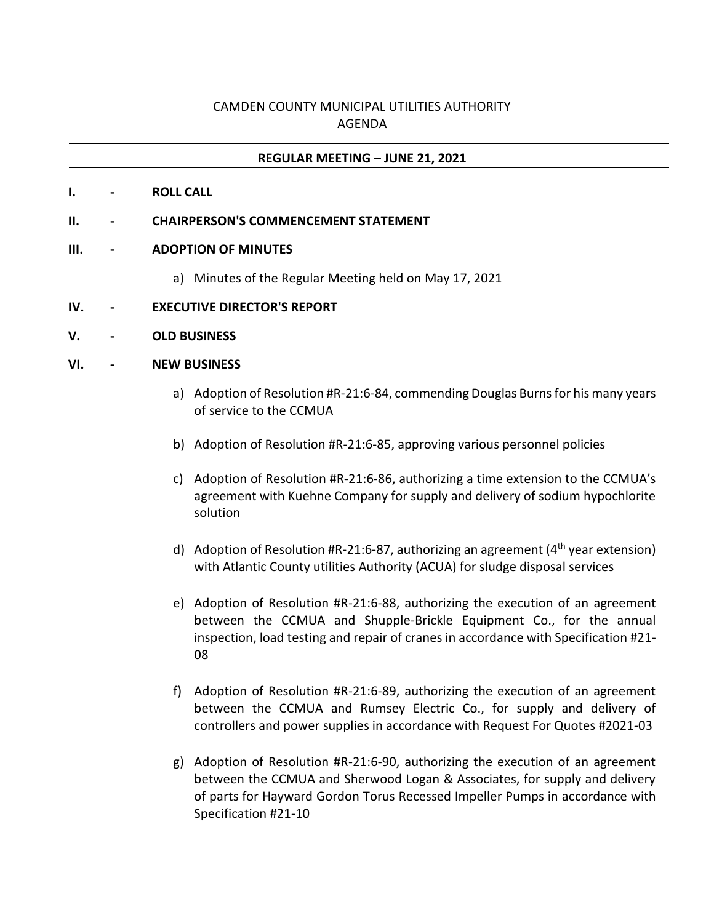# CAMDEN COUNTY MUNICIPAL UTILITIES AUTHORITY AGENDA

### **REGULAR MEETING – JUNE 21, 2021**

**I. - ROLL CALL**

#### **II. - CHAIRPERSON'S COMMENCEMENT STATEMENT**

#### **III. - ADOPTION OF MINUTES**

- a) Minutes of the Regular Meeting held on May 17, 2021
- **IV. - EXECUTIVE DIRECTOR'S REPORT**
- **V. - OLD BUSINESS**

#### **VI. - NEW BUSINESS**

- a) Adoption of Resolution #R-21:6-84, commending Douglas Burns for his many years of service to the CCMUA
- b) Adoption of Resolution #R-21:6-85, approving various personnel policies
- c) Adoption of Resolution #R-21:6-86, authorizing a time extension to the CCMUA's agreement with Kuehne Company for supply and delivery of sodium hypochlorite solution
- d) Adoption of Resolution #R-21:6-87, authorizing an agreement  $(4^{th}$  year extension) with Atlantic County utilities Authority (ACUA) for sludge disposal services
- e) Adoption of Resolution #R-21:6-88, authorizing the execution of an agreement between the CCMUA and Shupple-Brickle Equipment Co., for the annual inspection, load testing and repair of cranes in accordance with Specification #21- 08
- f) Adoption of Resolution #R-21:6-89, authorizing the execution of an agreement between the CCMUA and Rumsey Electric Co., for supply and delivery of controllers and power supplies in accordance with Request For Quotes #2021-03
- g) Adoption of Resolution #R-21:6-90, authorizing the execution of an agreement between the CCMUA and Sherwood Logan & Associates, for supply and delivery of parts for Hayward Gordon Torus Recessed Impeller Pumps in accordance with Specification #21-10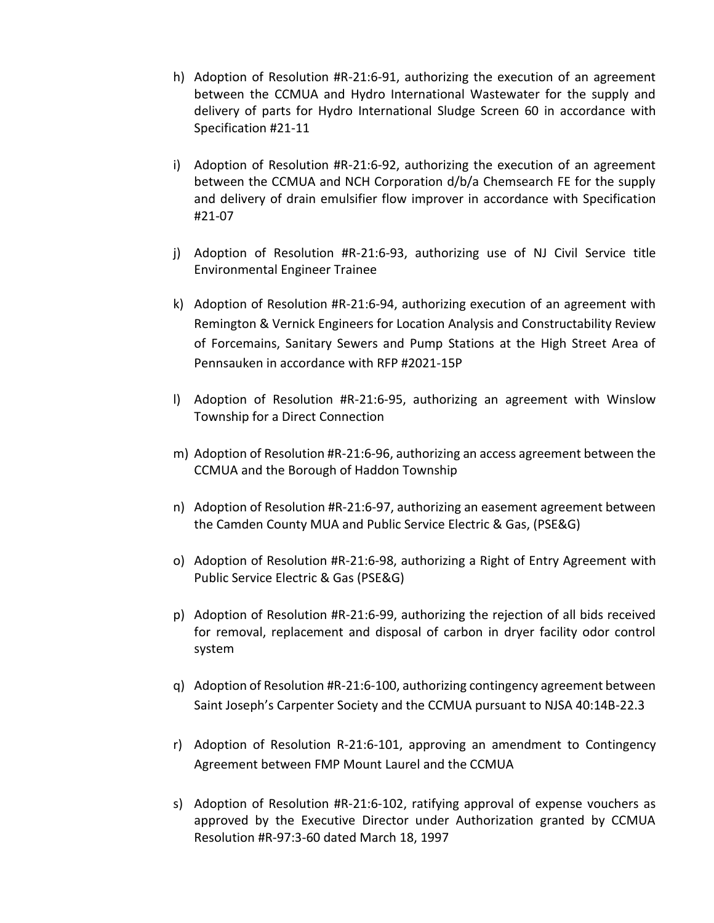- h) Adoption of Resolution #R-21:6-91, authorizing the execution of an agreement between the CCMUA and Hydro International Wastewater for the supply and delivery of parts for Hydro International Sludge Screen 60 in accordance with Specification #21-11
- i) Adoption of Resolution #R-21:6-92, authorizing the execution of an agreement between the CCMUA and NCH Corporation d/b/a Chemsearch FE for the supply and delivery of drain emulsifier flow improver in accordance with Specification #21-07
- j) Adoption of Resolution #R-21:6-93, authorizing use of NJ Civil Service title Environmental Engineer Trainee
- k) Adoption of Resolution #R-21:6-94, authorizing execution of an agreement with Remington & Vernick Engineers for Location Analysis and Constructability Review of Forcemains, Sanitary Sewers and Pump Stations at the High Street Area of Pennsauken in accordance with RFP #2021-15P
- l) Adoption of Resolution #R-21:6-95, authorizing an agreement with Winslow Township for a Direct Connection
- m) Adoption of Resolution #R-21:6-96, authorizing an access agreement between the CCMUA and the Borough of Haddon Township
- n) Adoption of Resolution #R-21:6-97, authorizing an easement agreement between the Camden County MUA and Public Service Electric & Gas, (PSE&G)
- o) Adoption of Resolution #R-21:6-98, authorizing a Right of Entry Agreement with Public Service Electric & Gas (PSE&G)
- p) Adoption of Resolution #R-21:6-99, authorizing the rejection of all bids received for removal, replacement and disposal of carbon in dryer facility odor control system
- q) Adoption of Resolution #R-21:6-100, authorizing contingency agreement between Saint Joseph's Carpenter Society and the CCMUA pursuant to NJSA 40:14B-22.3
- r) Adoption of Resolution R-21:6-101, approving an amendment to Contingency Agreement between FMP Mount Laurel and the CCMUA
- s) Adoption of Resolution #R-21:6-102, ratifying approval of expense vouchers as approved by the Executive Director under Authorization granted by CCMUA Resolution #R-97:3-60 dated March 18, 1997